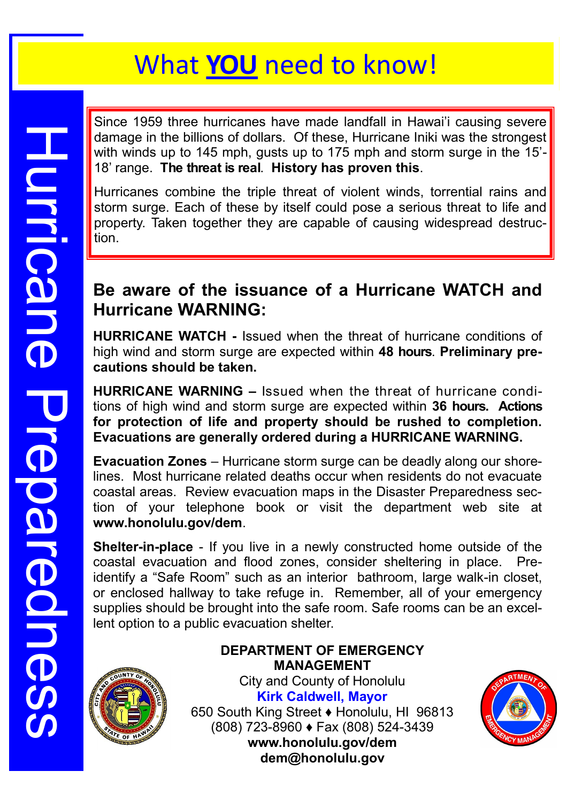Since 1959 three hurricanes have made landfall in Hawai'i causing severe damage in the billions of dollars. Of these, Hurricane Iniki was the strongest with winds up to 145 mph, gusts up to 175 mph and storm surge in the 15'- 18' range. **The threat is real**. **History has proven this**.

Hurricanes combine the triple threat of violent winds, torrential rains and storm surge. Each of these by itself could pose a serious threat to life and property. Taken together they are capable of causing widespread destruction.

# **Be aware of the issuance of a Hurricane WATCH and Hurricane WARNING:**

**HURRICANE WATCH -** Issued when the threat of hurricane conditions of high wind and storm surge are expected within **48 hours**. **Preliminary precautions should be taken.** 

**HURRICANE WARNING –** Issued when the threat of hurricane conditions of high wind and storm surge are expected within **36 hours. Actions for protection of life and property should be rushed to completion. Evacuations are generally ordered during a HURRICANE WARNING.**

**Evacuation Zones** – Hurricane storm surge can be deadly along our shorelines. Most hurricane related deaths occur when residents do not evacuate coastal areas. Review evacuation maps in the Disaster Preparedness section of your telephone book or visit the department web site at **www.honolulu.gov/dem**.

**Shelter-in-place** - If you live in a newly constructed home outside of the coastal evacuation and flood zones, consider sheltering in place. Preidentify a "Safe Room" such as an interior bathroom, large walk-in closet, or enclosed hallway to take refuge in. Remember, all of your emergency supplies should be brought into the safe room. Safe rooms can be an excellent option to a public evacuation shelter.



Huricane Preparedness

Preparedness

**HULFICane** 

#### **DEPARTMENT OF EMERGENCY MANAGEMENT**

City and County of Honolulu **Kirk Caldwell, Mayor** 650 South King Street ♦ Honolulu, HI 96813 (808) 723-8960 ♦ Fax (808) 524-3439 **www.honolulu.gov/dem dem@honolulu.gov**